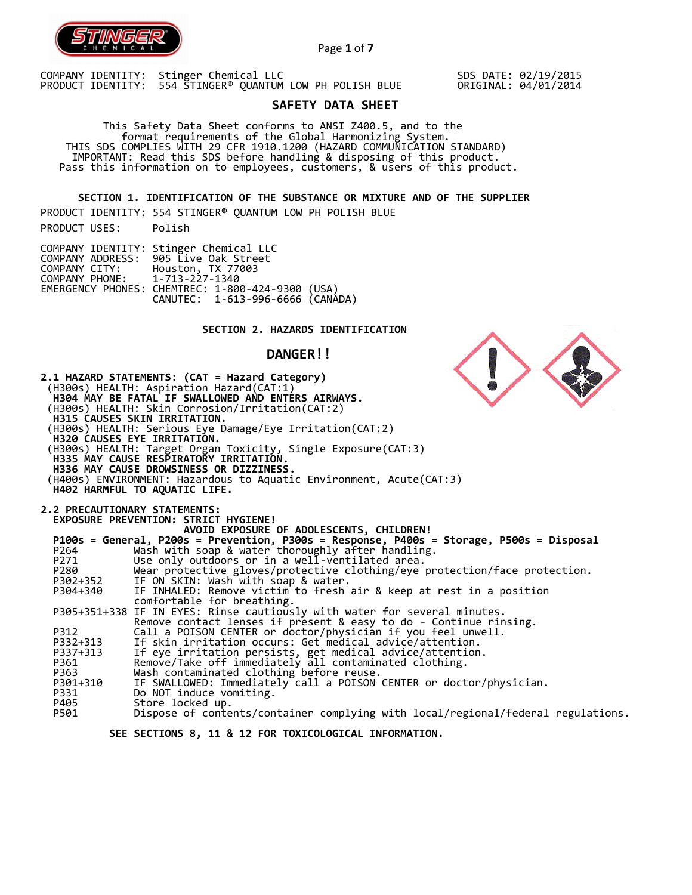

Page **1** of **7**

COMPANY IDENTITY: Stinger Chemical LLC PRODUCT IDENTITY: 554 STINGER® QUANTUM LOW PH POLISH BLUE SDS DATE: 02/19/2015 ORIGINAL: 04/01/2014

N

# **SAFETY DATA SHEET**

 This Safety Data Sheet conforms to ANSI Z400.5, and to the format requirements of the Global Harmonizing System. THIS SDS COMPLIES WITH 29 CFR 1910.1200 (HAZARD COMMUNICATION STANDARD) IMPORTANT: Read this SDS before handling & disposing of this product. Pass this information on to employees, customers, & users of this product.

**SECTION 1. IDENTIFICATION OF THE SUBSTANCE OR MIXTURE AND OF THE SUPPLIER** 

PRODUCT IDENTITY: 554 STINGER® QUANTUM LOW PH POLISH BLUE PRODUCT USES: Polish

|                               | COMPANY IDENTITY: Stinger Chemical LLC           |  |
|-------------------------------|--------------------------------------------------|--|
|                               | COMPANY ADDRESS: 905 Live Oak Street             |  |
| COMPANY CITY:                 | Houston, TX 77003                                |  |
| COMPANY PHONE: 1-713-227-1340 |                                                  |  |
|                               | EMERGENCY PHONES: CHEMTREC: 1-800-424-9300 (USA) |  |
|                               | CANUTEC: 1-613-996-6666 (CANADA)                 |  |

# **SECTION 2. HAZARDS IDENTIFICATION**

# **DANGER!!**

|                  | 2.1 HAZARD STATEMENTS: (CAT = Hazard Category)<br>(H300s) HEALTH: Aspiration Hazard(CAT:1)<br>H304 MAY BE FATAL IF SWALLOWED AND ENTERS AIRWAYS.<br>(H300s) HEALTH: Skin Corrosion/Irritation(CAT:2)<br><b>H315 CAUSES SKIN IRRITATION.</b><br>(H300s) HEALTH: Serious Eye Damage/Eye Irritation(CAT:2)<br>H320 CAUSES EYE IRRITATIÓN.<br>(H300s) HEALTH: Target Organ Toxicity, Single Exposure(CAT:3)<br>H335 MAY CAUSE RESPIRATORY IRRITATION.<br>H336 MAY CAUSE DROWSINESS OR DIZZINESS.<br>(H400s) ENVIRONMENT: Hazardous to Aquatic Environment, Acute(CAT:3)<br>H402 HARMFUL TO AQUATIC LIFE. |
|------------------|------------------------------------------------------------------------------------------------------------------------------------------------------------------------------------------------------------------------------------------------------------------------------------------------------------------------------------------------------------------------------------------------------------------------------------------------------------------------------------------------------------------------------------------------------------------------------------------------------|
|                  | <b>2.2 PRECAUTIONARY STATEMENTS:</b>                                                                                                                                                                                                                                                                                                                                                                                                                                                                                                                                                                 |
|                  | EXPOSURE PREVENTION: STRICT HYGIENE!<br>AVOID EXPOSURE OF ADOLESCENTS, CHILDREN!                                                                                                                                                                                                                                                                                                                                                                                                                                                                                                                     |
|                  | P100s = General, P200s = Prevention, P300s = Response, P400s = Storage, P500s = Disposal                                                                                                                                                                                                                                                                                                                                                                                                                                                                                                             |
| P264             | Wash with soap & water thoroughly after handling.                                                                                                                                                                                                                                                                                                                                                                                                                                                                                                                                                    |
| P271             | Use only outdoors or in a well-ventilated area.                                                                                                                                                                                                                                                                                                                                                                                                                                                                                                                                                      |
| P280             | Wear protective gloves/protective clothing/eye protection/face protection.                                                                                                                                                                                                                                                                                                                                                                                                                                                                                                                           |
| P302+352         | IF ON SKIN: Wash with soap & water.                                                                                                                                                                                                                                                                                                                                                                                                                                                                                                                                                                  |
| P304+340         | IF INHALED: Remove victim to fresh air & keep at rest in a position                                                                                                                                                                                                                                                                                                                                                                                                                                                                                                                                  |
|                  | comfortable for breathing.                                                                                                                                                                                                                                                                                                                                                                                                                                                                                                                                                                           |
|                  | P305+351+338 IF IN EYES: Rinse cautiously with water for several minutes.                                                                                                                                                                                                                                                                                                                                                                                                                                                                                                                            |
|                  | Remove contact lenses if present & easy to do - Continue rinsing.                                                                                                                                                                                                                                                                                                                                                                                                                                                                                                                                    |
| P312<br>P332+313 | Call a POISON CENTER or doctor/physician if you feel unwell.<br>If skin irritation occurs: Get medical advice/attention.                                                                                                                                                                                                                                                                                                                                                                                                                                                                             |
| P337+313         | If eye irritation persists, get medical advice/attention.                                                                                                                                                                                                                                                                                                                                                                                                                                                                                                                                            |
| P361             | Remove/Take off immediately all contaminated clothing.                                                                                                                                                                                                                                                                                                                                                                                                                                                                                                                                               |
| P363             | Wash contaminated clothing before reuse.                                                                                                                                                                                                                                                                                                                                                                                                                                                                                                                                                             |
| P301+310         | IF SWALLOWED: Immediately call a POISON CENTER or doctor/physician.                                                                                                                                                                                                                                                                                                                                                                                                                                                                                                                                  |
| P331             | Do NOT induce vomiting.                                                                                                                                                                                                                                                                                                                                                                                                                                                                                                                                                                              |
| P405             | Store locked up.                                                                                                                                                                                                                                                                                                                                                                                                                                                                                                                                                                                     |
| P501             | Dispose of contents/container complying with local/regional/federal regulations.                                                                                                                                                                                                                                                                                                                                                                                                                                                                                                                     |
|                  |                                                                                                                                                                                                                                                                                                                                                                                                                                                                                                                                                                                                      |

 **SEE SECTIONS 8, 11 & 12 FOR TOXICOLOGICAL INFORMATION.**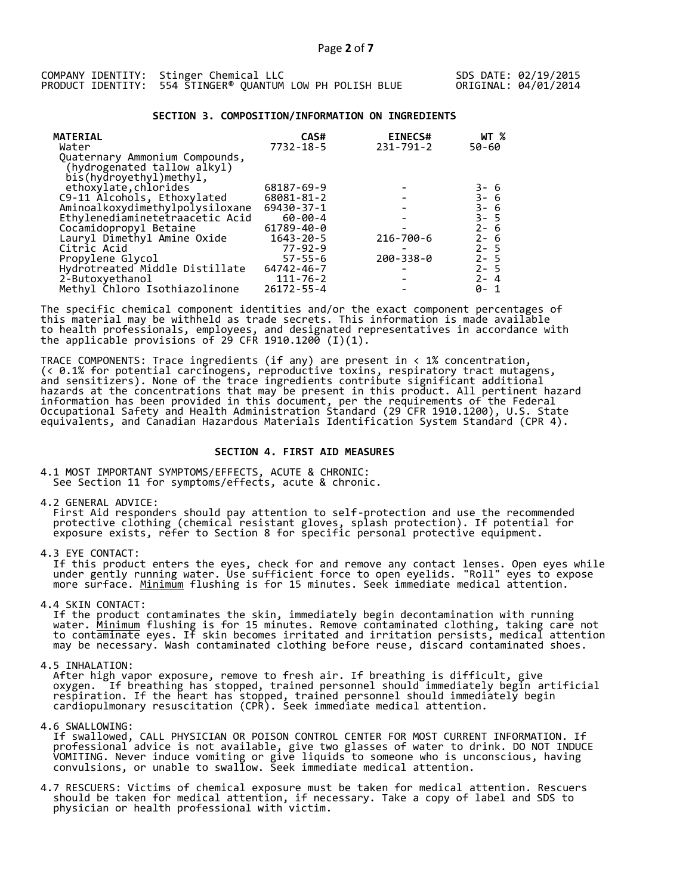|  | COMPANY IDENTITY: Stinger Chemical LLC                    |  |  |  |
|--|-----------------------------------------------------------|--|--|--|
|  | PRODUCT IDENTITY: 554 STINGER® QUANTUM LOW PH POLISH BLUE |  |  |  |

### **SECTION 3. COMPOSITION/INFORMATION ON INGREDIENTS**

| <b>MATERIAL</b><br>Water                                                                 | CAS#<br>$7732 - 18 - 5$ | <b>EINECS#</b><br>$231 - 791 - 2$ | WT %<br>50-60                |
|------------------------------------------------------------------------------------------|-------------------------|-----------------------------------|------------------------------|
| Quaternary Ammonium Compounds,<br>(hydrogenated tallow alkyl)<br>bis(hydroyethyl)methyl, |                         |                                   |                              |
| ethoxylate, chlorides                                                                    | 68187-69-9              |                                   |                              |
| C9-11 Alcohols, Ethoxylated                                                              | 68081-81-2              |                                   | 3- 6<br>3- 6<br>3- 6<br>3- 5 |
| Aminoalkoxydimethylpolysiloxane                                                          | $69430 - 37 - 1$        |                                   |                              |
| Ethylenediaminetetraacetic Acid                                                          | $60 - 00 - 4$           |                                   |                              |
| Cocamidopropyl Betaine                                                                   | 61789-40-0              |                                   | $2 - 6$                      |
| Lauryl Dimethyl Amine Oxide                                                              | $1643 - 20 - 5$         | 216-700-6                         | $2 - 6$                      |
| Citric Acid                                                                              | $77 - 92 - 9$           |                                   | $2 - 5$                      |
| Propylene Glycol                                                                         | $57 - 55 - 6$           | $200 - 338 - 0$                   | $2 - 5$                      |
| Hydrotreated Middle Distillate                                                           | 64742-46-7              |                                   | $2 - 5$                      |
| 2-Butoxyethanol                                                                          | $111 - 76 - 2$          |                                   | $2 - 4$                      |
| Methyl Chloro Isothiazolinone                                                            | $26172 - 55 - 4$        |                                   | 0-                           |

The specific chemical component identities and/or the exact component percentages of this material may be withheld as trade secrets. This information is made available to health professionals, employees, and designated representatives in accordance with the applicable provisions of 29 CFR 1910.1200̄ (I)(1).  $\overline{\phantom{a}}$ 

TRACE COMPONENTS: Trace ingredients (if any) are present in < 1% concentration, (< 0.1% for potential carcinogens, reproductive toxins, respiratory tract mutagens, and sensitizers). None of the trace ingredients contribute significant additional hazards at the concentrations that may be present in this product. All pertinent hazard information has been provided in this document, per the requirements of the Federal Occupational Safety and Health Administration Standard (29 CFR 1910.1200), U.S. State equivalents, and Canadian Hazardous Materials Identification System Standard (CPR 4).

### **SECTION 4. FIRST AID MEASURES**

4.1 MOST IMPORTANT SYMPTOMS/EFFECTS, ACUTE & CHRONIC: See Section 11 for symptoms/effects, acute & chronic.

4.2 GENERAL ADVICE:

 First Aid responders should pay attention to self-protection and use the recommended protective clothing (chemical resistant gloves, splash protection). If potential for exposure exists, refer to Section 8 for specific personal protective equipment.

4.3 EYE CONTACT:

 If this product enters the eyes, check for and remove any contact lenses. Open eyes while under gently running water. Use sufficient force to open eyelids. "Roll" eyes to expose more surface. <u>Minimum</u> flushing is for 15 minutes. Seek immediate medical attention.

4.4 SKIN CONTACT:

 If the product contaminates the skin, immediately begin decontamination with running water. <u>Minimum</u> flushing is for 15 minutes. Remove contaminated clothing, taking care not to contaminate eyes. If skin becomes irritated and irritation persists, medical attention may be necessary. Wash contaminated clothing before reuse, discard contaminated shoes.

4.5 INHALATION:

 After high vapor exposure, remove to fresh air. If breathing is difficult, give oxygen. If breathing has stopped, trained personnel should immediately begin artificial respiration. If the heart has stopped, trained personnel should immediately begin cardiopulmonary resuscitation (CPR). Seek immediate medical attention.

4.6 SWALLOWING:

 If swallowed, CALL PHYSICIAN OR POISON CONTROL CENTER FOR MOST CURRENT INFORMATION. If professional advice is not available, give two glasses of water to drink. DO NOT INDUCE VOMITING. Never induce vomiting or give liquids to someone who is unconscious, having convulsions, or unable to swallow. Seek immediate medical attention.

4.7 RESCUERS: Victims of chemical exposure must be taken for medical attention. Rescuers should be taken for medical attention, if necessary. Take a copy of label and SDS to physician or health professional with victim.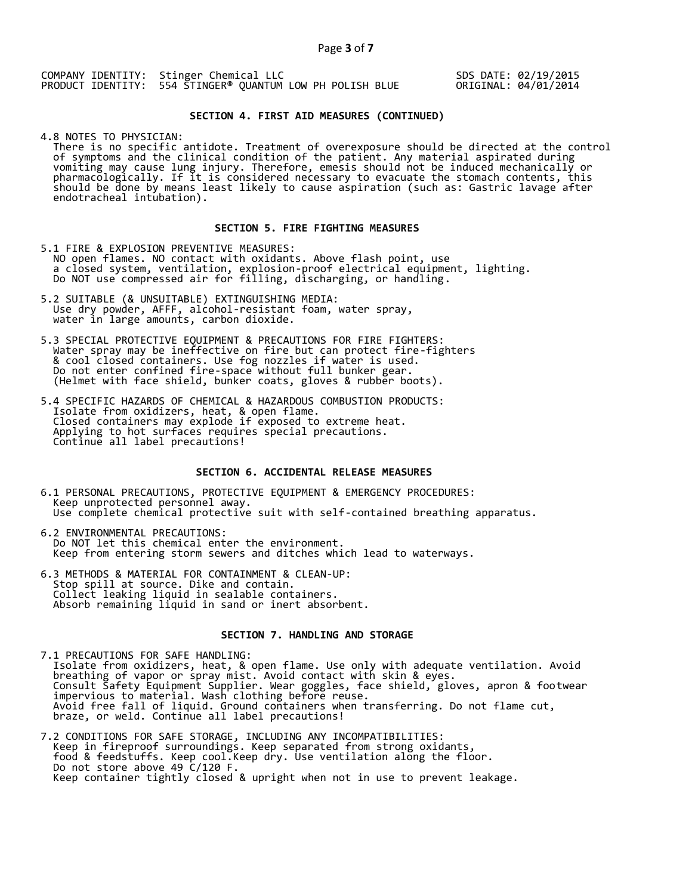COMPANY IDENTITY: Stinger Chemical LLC PRODUCT IDENTITY: 554 STINGER® QUANTUM LOW PH POLISH BLUE SDS DATE: 02/19/2015 ORIGINAL: 04/01/2014

# **SECTION 4. FIRST AID MEASURES (CONTINUED)**

4.8 NOTES TO PHYSICIAN:

 There is no specific antidote. Treatment of overexposure should be directed at the control of symptoms and the clinical condition of the patient. Any material aspirated during vomiting may cause lung injury. Therefore, emesis should not be induced mechanically or pharmacologically. If it is considered necessary to evacuate the stomach contents, this should be done by means least likely to cause aspiration (such as: Gastric lavage after endotracheal intubation).

# **SECTION 5. FIRE FIGHTING MEASURES**

5.1 FIRE & EXPLOSION PREVENTIVE MEASURES: NO open flames. NO contact with oxidants. Above flash point, use a closed system, ventilation, explosion-proof electrical equipment, lighting. Do NOT use compressed air for filling, discharging, or handling.

- 5.2 SUITABLE (& UNSUITABLE) EXTINGUISHING MEDIA: Use dry powder, AFFF, alcohol-resistant foam, water spray, water in large amounts, carbon dioxide.
- 5.3 SPECIAL PROTECTIVE EQUIPMENT & PRECAUTIONS FOR FIRE FIGHTERS: Water spray may be ineffective on fire but can protect fire-fighters & cool closed containers. Use fog nozzles if water is used. Do not enter confined fire-space without full bunker gear. (Helmet with face shield, bunker coats, gloves & rubber boots).
- 5.4 SPECIFIC HAZARDS OF CHEMICAL & HAZARDOUS COMBUSTION PRODUCTS: Isolate from oxidizers, heat, & open flame. Closed containers may explode if exposed to extreme heat. Applying to hot surfaces requires special precautions. Continue all label precautions!

# **SECTION 6. ACCIDENTAL RELEASE MEASURES**

- 6.1 PERSONAL PRECAUTIONS, PROTECTIVE EQUIPMENT & EMERGENCY PROCEDURES: Keep unprotected personnel away. Use complete chemical protective suit with self-contained breathing apparatus.
- 6.2 ENVIRONMENTAL PRECAUTIONS: Do NOT let this chemical enter the environment. Keep from entering storm sewers and ditches which lead to waterways.
- 6.3 METHODS & MATERIAL FOR CONTAINMENT & CLEAN-UP: Stop spill at source. Dike and contain. Collect leaking liquid in sealable containers. Absorb remaining liquid in sand or inert absorbent.

#### **SECTION 7. HANDLING AND STORAGE**

7.1 PRECAUTIONS FOR SAFE HANDLING: Isolate from oxidizers, heat, & open flame. Use only with adequate ventilation. Avoid breathing of vapor or spray mist. Avoid contact with skin & eyes. Consult Safety Equipment Supplier. Wear goggles, face shield, gloves, apron & footwear impervious to material. Wash clothing before reuse. Avoid free fall of liquid. Ground containers when transferring. Do not flame cut, braze, or weld. Continue all label precautions!

7.2 CONDITIONS FOR SAFE STORAGE, INCLUDING ANY INCOMPATIBILITIES: Keep in fireproof surroundings. Keep separated from strong oxidants, food & feedstuffs. Keep cool.Keep dry. Use ventilation along the floor. Do not store above 49 C/120 F. Keep container tightly closed & upright when not in use to prevent leakage.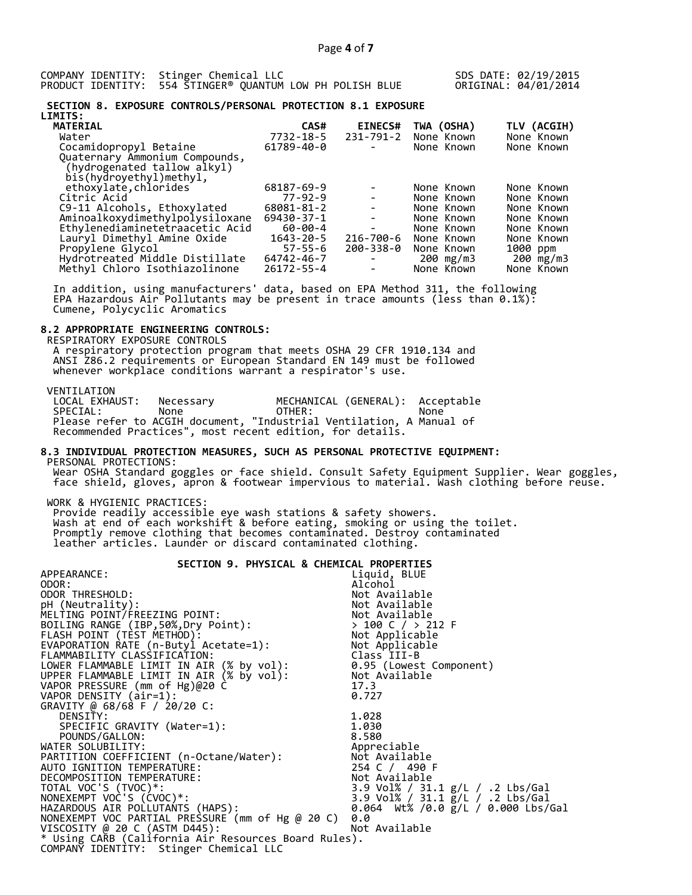COMPANY IDENTITY: Stinger Chemical LLC PRODUCT IDENTITY: 554 STINGER® QUANTUM LOW PH POLISH BLUE SDS DATE: 02/19/2015 ORIGINAL: 04/01/2014

#### **SECTION 8. EXPOSURE CONTROLS/PERSONAL PROTECTION 8.1 EXPOSURE LIMITS:**

| CAS#          |                          |                                          | TLV (ACGIH)             |
|---------------|--------------------------|------------------------------------------|-------------------------|
| 7732-18-5     | 231-791-2                | None Known                               | None Known              |
| 61789-40-0    |                          | None Known                               | None Known              |
|               |                          |                                          |                         |
|               |                          |                                          |                         |
|               |                          |                                          |                         |
| 68187-69-9    |                          | None Known                               | None Known              |
| $77 - 92 - 9$ | $\overline{\phantom{a}}$ | None Known                               | None Known              |
| 68081-81-2    | $\overline{\phantom{a}}$ | None Known                               | None Known              |
| 69430-37-1    |                          | None Known                               | None Known              |
| 60-00-4       | $\overline{\phantom{a}}$ | None Known                               | None Known              |
| 1643-20-5     |                          | None Known                               | None Known              |
| $57 - 55 - 6$ |                          | None Known                               | 1000 ppm                |
|               | $\overline{\phantom{a}}$ |                                          | 200 mg/m3               |
| 26172-55-4    |                          | None Known                               | None Known              |
|               | 64742-46-7               | <b>EINECS#</b><br>216-700-6<br>200-338-0 | TWA (OSHA)<br>200 mg/m3 |

 In addition, using manufacturers' data, based on EPA Method 311, the following EPA Hazardous Air Pollutants may be present in trace amounts (less than 0.1%): Cumene, Polycyclic Aromatics

# **8.2 APPROPRIATE ENGINEERING CONTROLS:**

 RESPIRATORY EXPOSURE CONTROLS A respiratory protection program that meets OSHA 29 CFR 1910.134 and ANSI Z86.2 requirements or European Standard EN 149 must be followed whenever workplace conditions warrant a respirator's use.

VENTILATION<br>LOCAL EXHAUST: LOCAL EXHAUST: Necessary MECHANICAL (GENERAL): Acceptable SPECIAL: None OTHER: None Please refer to ACGIH document, "Industrial Ventilation, A Manual of Recommended Practices", most recent edition, for details.

#### **8.3 INDIVIDUAL PROTECTION MEASURES, SUCH AS PERSONAL PROTECTIVE EQUIPMENT:**  PERSONAL PROTECTIONS:

 Wear OSHA Standard goggles or face shield. Consult Safety Equipment Supplier. Wear goggles, face shield, gloves, apron & footwear impervious to material. Wash clothing before reuse.

WORK & HYGIENIC PRACTICES:

 Provide readily accessible eye wash stations & safety showers. Wash at end of each workshift & before eating, smoking or using the toilet. Promptly remove clothing that becomes contaminated. Destroy contaminated leather articles. Launder or discard contaminated clothing.

| SECTION 9. PHYSICAL & CHEMICAL PROPERTIES                                                                                                                                                                                                  |                                                 |
|--------------------------------------------------------------------------------------------------------------------------------------------------------------------------------------------------------------------------------------------|-------------------------------------------------|
| APPEARANCE:                                                                                                                                                                                                                                | Liquid, BLUE                                    |
| ODOR:                                                                                                                                                                                                                                      | Alcohol                                         |
| ODOR THRESHOLD:                                                                                                                                                                                                                            | Not Available                                   |
|                                                                                                                                                                                                                                            |                                                 |
|                                                                                                                                                                                                                                            |                                                 |
|                                                                                                                                                                                                                                            |                                                 |
|                                                                                                                                                                                                                                            |                                                 |
|                                                                                                                                                                                                                                            |                                                 |
|                                                                                                                                                                                                                                            |                                                 |
|                                                                                                                                                                                                                                            |                                                 |
| UNIVERSITY (Neutrality):<br>MELTING POINT/FREEZING POINT:<br>MOLING RANGE (IBP,50%,Dry Point):<br>MOLING RANGE (IBP,50%,Dry Point):<br>FLASH POINT (TEST METHOD):<br>EVAPORATION RATE (n-Butyl Acetate=1):<br>LOWER FLAMMABILITY CLASSIFIC |                                                 |
| VAPOR PRESSURE (mm of Hg)@20 C                                                                                                                                                                                                             | 17.3                                            |
| VAPOR DENSITY (air=1):                                                                                                                                                                                                                     | 0.727                                           |
| GRAVITY @ 68/68 F / 20/20 C:                                                                                                                                                                                                               |                                                 |
| DENSITY:                                                                                                                                                                                                                                   | 1.028                                           |
| SPECIFIC GRAVITY (Water=1):                                                                                                                                                                                                                | 1.030                                           |
| POUNDS/GALLON:                                                                                                                                                                                                                             | 8.580                                           |
| WATER SOLUBILITY:                                                                                                                                                                                                                          | Appreciable                                     |
|                                                                                                                                                                                                                                            |                                                 |
|                                                                                                                                                                                                                                            | 254 C / 490 F                                   |
|                                                                                                                                                                                                                                            |                                                 |
| TOTAL VOC'S (TVOC)*:                                                                                                                                                                                                                       | 3.9 Vol% / 31.1 g/L / .2 Lbs/Gal                |
| NONEXEMPT VOC'S (CVOC)*:                                                                                                                                                                                                                   | 3.9 Vol% / 31.1 g/L / .2 Lbs/Gal                |
| HAZARDOUS AIR POLLUTANTS (HAPS):                                                                                                                                                                                                           | 0.064 Wt% /0.0 $\frac{1}{2}$ /L / 0.000 Lbs/Gal |
| NONEXEMPT VOC PARTIAL PRESSURE (mm of Hg @ 20 C)                                                                                                                                                                                           | 0.0                                             |
| VISCOSITY @ 20 C (ASTM D445):                                                                                                                                                                                                              | Not Available                                   |
| * Using CARB (California Air Resources Board Rules).                                                                                                                                                                                       |                                                 |
| COMPANY IDENTITY: Stinger Chemical LLC                                                                                                                                                                                                     |                                                 |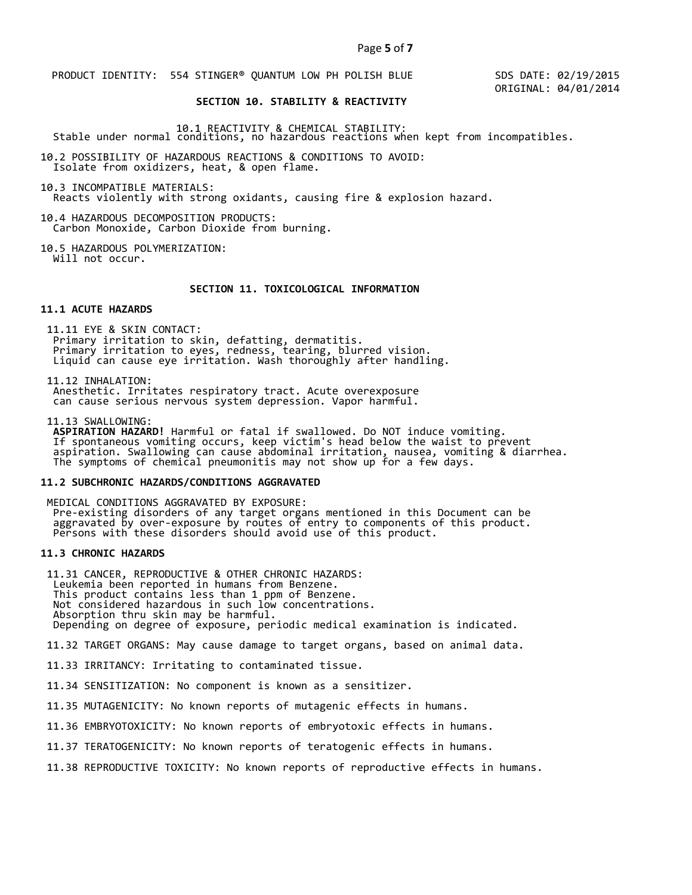PRODUCT IDENTITY: 554 STINGER® QUANTUM LOW PH POLISH BLUE

 SDS DATE: 02/19/2015 ORIGINAL: 04/01/2014

# **SECTION 10. STABILITY & REACTIVITY**

10.1 REACTIVITY & CHEMICAL STABILITY: Stable under normal conditions, no hazardous reactions when kept from incompatibles.

10.2 POSSIBILITY OF HAZARDOUS REACTIONS & CONDITIONS TO AVOID: Isolate from oxidizers, heat, & open flame.

10.3 INCOMPATIBLE MATERIALS: Reacts violently with strong oxidants, causing fire & explosion hazard.

10.4 HAZARDOUS DECOMPOSITION PRODUCTS: Carbon Monoxide, Carbon Dioxide from burning.

10.5 HAZARDOUS POLYMERIZATION: Will not occur.

# **SECTION 11. TOXICOLOGICAL INFORMATION**

#### **11.1 ACUTE HAZARDS**

 11.11 EYE & SKIN CONTACT: Primary irritation to skin, defatting, dermatitis. Primary irritation to eyes, redness, tearing, blurred vision. Liquid can cause eye irritation. Wash thoroughly after handling.

11.12 INHALATION:

 Anesthetic. Irritates respiratory tract. Acute overexposure can cause serious nervous system depression. Vapor harmful.

11.13 SWALLOWING:

 **ASPIRATION HAZARD!** Harmful or fatal if swallowed. Do NOT induce vomiting. If spontaneous vomiting occurs, keep victim's head below the waist to prevent aspiration. Swallowing can cause abdominal irritation, nausea, vomiting & diarrhea. The symptoms of chemical pneumonitis may not show up for a few days.

## **11.2 SUBCHRONIC HAZARDS/CONDITIONS AGGRAVATED**

 MEDICAL CONDITIONS AGGRAVATED BY EXPOSURE: Pre-existing disorders of any target organs mentioned in this Document can be aggravated by over-exposure by routes of entry to components of this product. Persons with these disorders should avoid use of this product.

# **11.3 CHRONIC HAZARDS**

 11.31 CANCER, REPRODUCTIVE & OTHER CHRONIC HAZARDS: Leukemia been reported in humans from Benzene. This product contains less than 1 ppm of Benzene. Not considered hazardous in such low concentrations. Absorption thru skin may be harmful. Depending on degree of exposure, periodic medical examination is indicated.

11.32 TARGET ORGANS: May cause damage to target organs, based on animal data.

11.33 IRRITANCY: Irritating to contaminated tissue.

11.34 SENSITIZATION: No component is known as a sensitizer.

11.35 MUTAGENICITY: No known reports of mutagenic effects in humans.

11.36 EMBRYOTOXICITY: No known reports of embryotoxic effects in humans.

11.37 TERATOGENICITY: No known reports of teratogenic effects in humans.

11.38 REPRODUCTIVE TOXICITY: No known reports of reproductive effects in humans.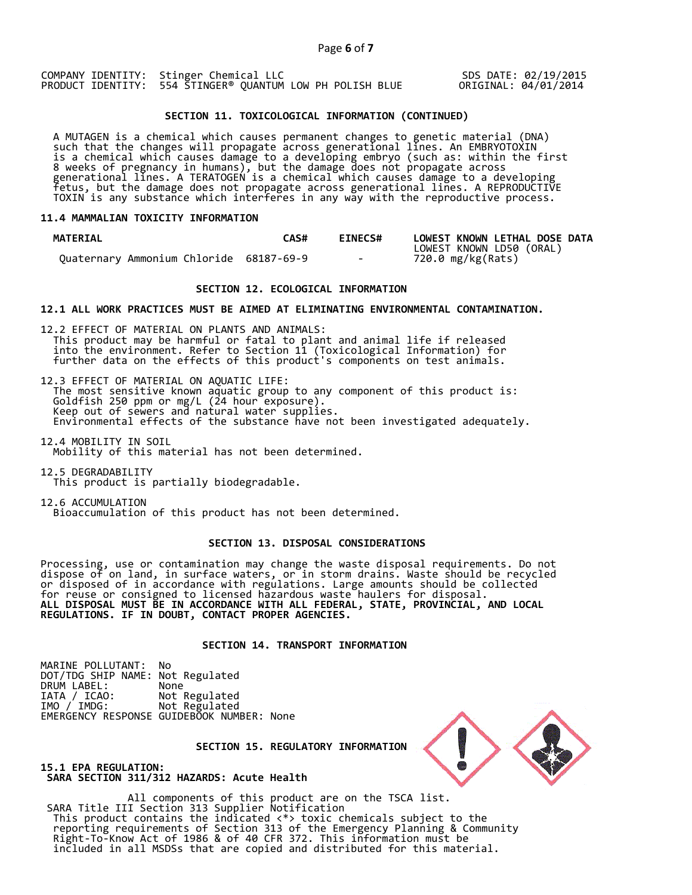COMPANY IDENTITY: Stinger Chemical LLC PRODUCT IDENTITY: 554 STINGER® QUANTUM LOW PH POLISH BLUE SDS DATE: 02/19/2015 ORIGINAL: 04/01/2014

# **SECTION 11. TOXICOLOGICAL INFORMATION (CONTINUED)**

 A MUTAGEN is a chemical which causes permanent changes to genetic material (DNA) such that the changes will propagate across generational lines. An EMBRYOTOXIN is a chemical which causes damage to a developing embryo (such as: within the first 8 weeks of pregnancy in humans), but the damage does not propagate across generational lines. A TERATOGEN is a chemical which causes damage to a developing fetus, but the damage does not propagate across generational lines. A REPRODUCTIVE TOXIN is any substance which interferes in any way with the reproductive process.

### **11.4 MAMMALIAN TOXICITY INFORMATION**

| <b>MATERIAL</b>                         | CAS# | <b>EINECS#</b> | LOWEST KNOWN LETHAL DOSE DATA |
|-----------------------------------------|------|----------------|-------------------------------|
|                                         |      |                | LOWEST KNOWN LD50 (ORAL)      |
| Ouaternary Ammonium Chloride 68187-69-9 |      | $\sim$ $\sim$  | 720.0 mg/kg(Rats)             |

# **SECTION 12. ECOLOGICAL INFORMATION**

#### **12.1 ALL WORK PRACTICES MUST BE AIMED AT ELIMINATING ENVIRONMENTAL CONTAMINATION.**

12.2 EFFECT OF MATERIAL ON PLANTS AND ANIMALS: This product may be harmful or fatal to plant and animal life if released into the environment. Refer to Section 11 (Toxicological Information) for further data on the effects of this product's components on test animals.

12.3 EFFECT OF MATERIAL ON AQUATIC LIFE: The most sensitive known aquatic group to any component of this product is: Goldfish 250 ppm or mg/L (24 hour exposure). Keep out of sewers and natural water supplies. Environmental effects of the substance have not been investigated adequately.

12.4 MOBILITY IN SOIL Mobility of this material has not been determined.

12.5 DEGRADABILITY This product is partially biodegradable.

12.6 ACCUMULATION Bioaccumulation of this product has not been determined.

#### **SECTION 13. DISPOSAL CONSIDERATIONS**

Processing, use or contamination may change the waste disposal requirements. Do not dispose of on land, in surface waters, or in storm drains. Waste should be recycled or disposed of in accordance with regulations. Large amounts should be collected for reuse or consigned to licensed hazardous waste haulers for disposal. **ALL DISPOSAL MUST BE IN ACCORDANCE WITH ALL FEDERAL, STATE, PROVINCIAL, AND LOCAL REGULATIONS. IF IN DOUBT, CONTACT PROPER AGENCIES.** 

# **SECTION 14. TRANSPORT INFORMATION**

MARINE POLLUTANT: No DOT/TDG SHIP NAME: Not Regulated DRUM LABEL:<br>IATA / ICAO: IATA / ICAO: Not Regulated<br>IMO / IMDG: Not Regulated Not Regulated EMERGENCY RESPONSE GUIDEBOOK NUMBER: None

 **SECTION 15. REGULATORY INFORMATION** 



**15.1 EPA REGULATION: SARA SECTION 311/312 HAZARDS: Acute Health** 

All components of this product are on the TSCA list. SARA Title III Section 313 Supplier Notification This product contains the indicated <\*> toxic chemicals subject to the reporting requirements of Section 313 of the Emergency Planning & Community Right-To-Know Act of 1986 & of 40 CFR 372. This information must be included in all MSDSs that are copied and distributed for this material.